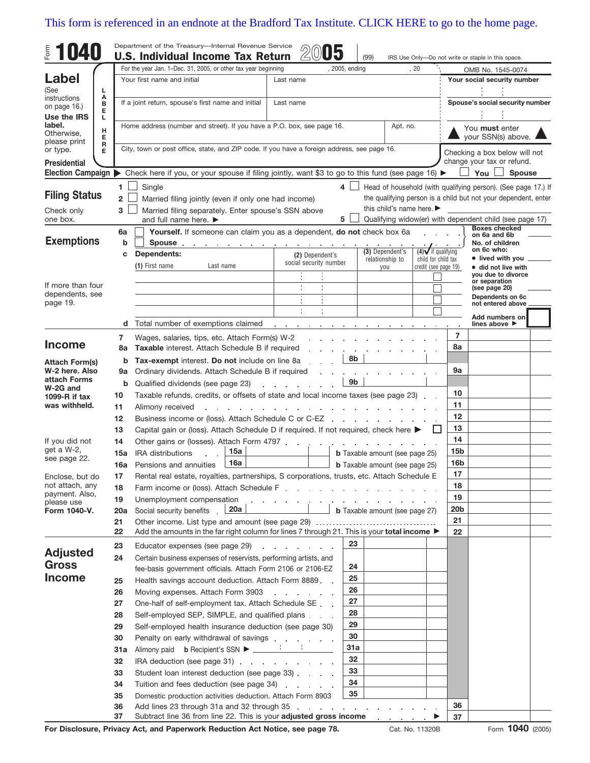## [This form is referenced in an endnote at the Bradford Tax Institute. CLICK HERE to go to the home page.](http://www.bradfordtaxinstitute.com/)

| Form<br><b>U40</b>             |          |                | Department of the Treasury-Internal Revenue Service<br><b>U.S. Individual Income Tax Return</b>                                              | ഗ്                                                                                                            |                                                                |                                       |                                             |                                                  |                                                                                 |
|--------------------------------|----------|----------------|----------------------------------------------------------------------------------------------------------------------------------------------|---------------------------------------------------------------------------------------------------------------|----------------------------------------------------------------|---------------------------------------|---------------------------------------------|--------------------------------------------------|---------------------------------------------------------------------------------|
|                                |          |                |                                                                                                                                              |                                                                                                               |                                                                | (99)                                  | , 20                                        |                                                  | IRS Use Only-Do not write or staple in this space.                              |
| Label                          |          |                | For the year Jan. 1-Dec. 31, 2005, or other tax year beginning<br>, 2005, ending<br>Your first name and initial<br>Last name                 |                                                                                                               |                                                                |                                       |                                             | OMB No. 1545-0074<br>Your social security number |                                                                                 |
| (See                           | г        |                |                                                                                                                                              |                                                                                                               |                                                                |                                       |                                             |                                                  |                                                                                 |
| instructions                   | Α<br>в   |                | If a joint return, spouse's first name and initial<br>Last name                                                                              |                                                                                                               |                                                                |                                       |                                             |                                                  | Spouse's social security number                                                 |
| on page 16.)<br>Use the IRS    | Е<br>L   |                |                                                                                                                                              |                                                                                                               |                                                                |                                       |                                             |                                                  |                                                                                 |
| label.                         |          |                | Home address (number and street). If you have a P.O. box, see page 16.                                                                       |                                                                                                               |                                                                | Apt. no.                              |                                             |                                                  | You must enter                                                                  |
| Otherwise,<br>please print     | н<br>Е   |                |                                                                                                                                              |                                                                                                               |                                                                |                                       |                                             | your SSN(s) above.                               |                                                                                 |
| or type.                       | R<br>Е   |                |                                                                                                                                              | City, town or post office, state, and ZIP code. If you have a foreign address, see page 16.                   |                                                                |                                       |                                             |                                                  | Checking a box below will not                                                   |
| <b>Presidential</b>            |          |                |                                                                                                                                              |                                                                                                               |                                                                |                                       |                                             |                                                  | change your tax or refund.                                                      |
|                                |          |                | Election Campaign ▶ Check here if you, or your spouse if filing jointly, want \$3 to go to this fund (see page 16) ▶                         |                                                                                                               |                                                                |                                       |                                             |                                                  | You<br><b>Spouse</b>                                                            |
|                                |          | 1.             | Single                                                                                                                                       |                                                                                                               | 4                                                              |                                       |                                             |                                                  | Head of household (with qualifying person). (See page 17.) If                   |
| <b>Filing Status</b>           |          | $\overline{2}$ | Married filing jointly (even if only one had income)                                                                                         |                                                                                                               | the qualifying person is a child but not your dependent, enter |                                       |                                             |                                                  |                                                                                 |
| Check only                     |          | 3              | Married filing separately. Enter spouse's SSN above                                                                                          | this child's name here.                                                                                       |                                                                |                                       |                                             |                                                  |                                                                                 |
| one box.                       |          |                | and full name here. ▶                                                                                                                        |                                                                                                               | 5                                                              |                                       |                                             |                                                  | Qualifying widow(er) with dependent child (see page 17)<br><b>Boxes checked</b> |
| <b>Exemptions</b>              |          | 6a<br>b        | Yourself. If someone can claim you as a dependent, do not check box 6a                                                                       |                                                                                                               |                                                                |                                       |                                             |                                                  | on 6a and 6b                                                                    |
|                                |          | C              | Spouse.<br>the contract of the contract of the contract of the<br>Dependents:                                                                |                                                                                                               |                                                                | (3) Dependent's                       | $(4)$ if qualifying                         |                                                  | No. of children<br>on 6c who:                                                   |
|                                |          |                | (1) First name<br>Last name                                                                                                                  | (2) Dependent's<br>social security number                                                                     |                                                                | relationship to                       | child for child tax<br>credit (see page 19) |                                                  | • lived with you<br>• did not live with                                         |
|                                |          |                |                                                                                                                                              |                                                                                                               |                                                                | you                                   |                                             |                                                  | vou due to divorce                                                              |
| If more than four              |          |                |                                                                                                                                              |                                                                                                               |                                                                |                                       |                                             |                                                  | or separation<br>(see page 20)                                                  |
| dependents, see<br>page 19.    |          |                |                                                                                                                                              |                                                                                                               |                                                                |                                       |                                             |                                                  | Dependents on 6c<br>not entered above                                           |
|                                |          |                |                                                                                                                                              |                                                                                                               |                                                                |                                       |                                             |                                                  | Add numbers on                                                                  |
|                                |          | d              | Total number of exemptions claimed                                                                                                           | and a straightful control of the                                                                              |                                                                |                                       |                                             |                                                  | lines above ▶                                                                   |
|                                |          | 7              | Wages, salaries, tips, etc. Attach Form(s) W-2                                                                                               |                                                                                                               |                                                                |                                       |                                             | $\overline{7}$                                   |                                                                                 |
| <b>Income</b>                  |          | 8a             | <b>Taxable</b> interest. Attach Schedule B if required                                                                                       |                                                                                                               |                                                                |                                       |                                             | 8a                                               |                                                                                 |
| <b>Attach Form(s)</b>          |          | b              | Tax-exempt interest. Do not include on line 8a                                                                                               |                                                                                                               | 8b                                                             |                                       |                                             |                                                  |                                                                                 |
| W-2 here. Also<br>attach Forms |          | 9а             | Ordinary dividends. Attach Schedule B if required                                                                                            |                                                                                                               |                                                                |                                       |                                             | 9a                                               |                                                                                 |
| W-2G and                       |          | b              | 9b<br>Qualified dividends (see page 23)                                                                                                      |                                                                                                               |                                                                |                                       |                                             |                                                  |                                                                                 |
| 1099- $R$ if tax               | 10       |                | Taxable refunds, credits, or offsets of state and local income taxes (see page 23)                                                           |                                                                                                               |                                                                |                                       |                                             |                                                  |                                                                                 |
| was withheld.                  | 11       |                | Alimony received                                                                                                                             | 11<br>12                                                                                                      |                                                                |                                       |                                             |                                                  |                                                                                 |
|                                | 12<br>13 |                | Business income or (loss). Attach Schedule C or C-EZ<br>Capital gain or (loss). Attach Schedule D if required. If not required, check here ▶ | 13                                                                                                            |                                                                |                                       |                                             |                                                  |                                                                                 |
| If you did not                 | 14       |                | Other gains or (losses). Attach Form 4797                                                                                                    |                                                                                                               |                                                                |                                       |                                             | 14                                               |                                                                                 |
| get a W-2,                     |          | 15a            | 15a<br><b>IRA</b> distributions                                                                                                              | $\sim$                                                                                                        |                                                                | <b>b</b> Taxable amount (see page 25) |                                             | 15 <sub>b</sub>                                  |                                                                                 |
| see page 22.                   |          | 16a            | 16a<br>Pensions and annuities                                                                                                                |                                                                                                               |                                                                | <b>b</b> Taxable amount (see page 25) |                                             | 16 <sub>b</sub>                                  |                                                                                 |
| Enclose, but do                | 17       |                | Rental real estate, royalties, partnerships, S corporations, trusts, etc. Attach Schedule E                                                  |                                                                                                               |                                                                |                                       |                                             | 17                                               |                                                                                 |
| not attach, any                | 18       |                | Farm income or (loss). Attach Schedule F.                                                                                                    |                                                                                                               |                                                                |                                       |                                             | 18                                               |                                                                                 |
| payment. Also,<br>please use   | 19       |                | Unemployment compensation                                                                                                                    | and a second contract of the contract of the contract of the contract of the                                  |                                                                |                                       |                                             | 19                                               |                                                                                 |
| Form 1040-V.                   |          | 20a            | Social security benefits . 20a                                                                                                               |                                                                                                               |                                                                | <b>b</b> Taxable amount (see page 27) |                                             | 20 <sub>b</sub>                                  |                                                                                 |
|                                | 21       |                |                                                                                                                                              |                                                                                                               |                                                                |                                       |                                             | 21                                               |                                                                                 |
|                                | 22       |                | Add the amounts in the far right column for lines 7 through 21. This is your total income $\blacktriangleright$                              |                                                                                                               |                                                                |                                       |                                             | 22                                               |                                                                                 |
| <b>Adjusted</b>                | 23       |                | Educator expenses (see page 29)                                                                                                              | and a state of the state of the state of the state of the state of the state of the state of the state of the | 23                                                             |                                       |                                             |                                                  |                                                                                 |
| <b>Gross</b>                   | 24       |                | Certain business expenses of reservists, performing artists, and                                                                             |                                                                                                               | 24                                                             |                                       |                                             |                                                  |                                                                                 |
| <b>Income</b>                  |          |                | fee-basis government officials. Attach Form 2106 or 2106-EZ                                                                                  |                                                                                                               | 25                                                             |                                       |                                             |                                                  |                                                                                 |
|                                | 25<br>26 |                | Health savings account deduction. Attach Form 8889<br>Moving expenses. Attach Form 3903                                                      | the company of the company of                                                                                 | 26                                                             |                                       |                                             |                                                  |                                                                                 |
|                                | 27       |                | One-half of self-employment tax. Attach Schedule SE                                                                                          |                                                                                                               | 27                                                             |                                       |                                             |                                                  |                                                                                 |
|                                | 28       |                | Self-employed SEP, SIMPLE, and qualified plans                                                                                               |                                                                                                               | 28                                                             |                                       |                                             |                                                  |                                                                                 |
|                                | 29       |                | Self-employed health insurance deduction (see page 30)                                                                                       |                                                                                                               | 29                                                             |                                       |                                             |                                                  |                                                                                 |
|                                | 30       |                | Penalty on early withdrawal of savings                                                                                                       |                                                                                                               | 30                                                             |                                       |                                             |                                                  |                                                                                 |
|                                |          | 31a            |                                                                                                                                              |                                                                                                               | 31a                                                            |                                       |                                             |                                                  |                                                                                 |
|                                | 32       |                | IRA deduction (see page 31)                                                                                                                  |                                                                                                               | 32                                                             |                                       |                                             |                                                  |                                                                                 |
|                                | 33       |                | Student loan interest deduction (see page 33).                                                                                               |                                                                                                               | 33                                                             |                                       |                                             |                                                  |                                                                                 |
|                                | 34       |                | Tuition and fees deduction (see page 34)                                                                                                     |                                                                                                               | 34                                                             |                                       |                                             |                                                  |                                                                                 |
|                                | 35       |                | Domestic production activities deduction. Attach Form 8903                                                                                   |                                                                                                               | 35                                                             |                                       |                                             |                                                  |                                                                                 |
|                                | 36<br>37 |                | Add lines 23 through 31a and 32 through 35<br>Subtract line 36 from line 22. This is your adjusted gross income                              |                                                                                                               |                                                                |                                       |                                             | 36<br>37                                         |                                                                                 |
|                                |          |                |                                                                                                                                              |                                                                                                               |                                                                |                                       |                                             |                                                  |                                                                                 |

**For Disclosure, Privacy Act, and Paperwork Reduction Act Notice, see page 78.**